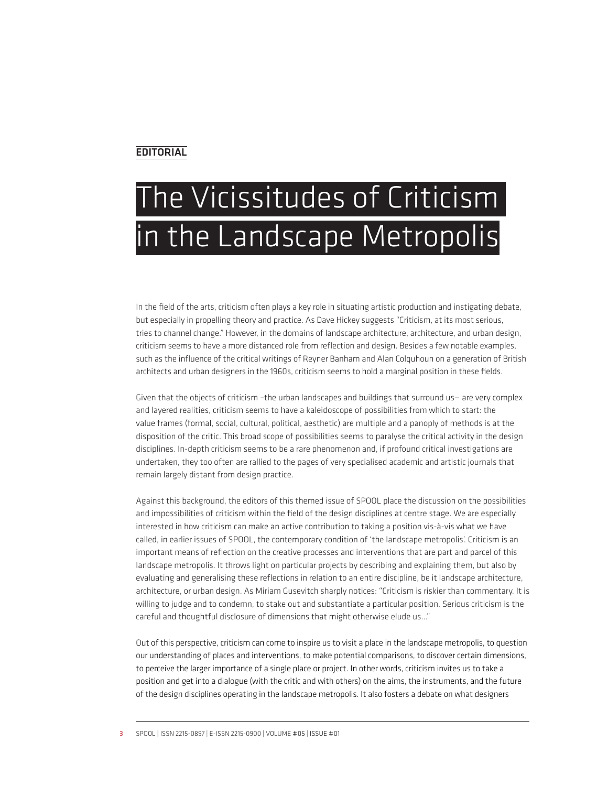#### EDITORIAL

# The Vicissitudes of Criticism in the Landscape Metropolis

In the field of the arts, criticism often plays a key role in situating artistic production and instigating debate, but especially in propelling theory and practice. As Dave Hickey suggests "Criticism, at its most serious, tries to channel change." However, in the domains of landscape architecture, architecture, and urban design, criticism seems to have a more distanced role from reflection and design. Besides a few notable examples, such as the influence of the critical writings of Reyner Banham and Alan Colquhoun on a generation of British architects and urban designers in the 1960s, criticism seems to hold a marginal position in these fields.

Given that the objects of criticism -the urban landscapes and buildings that surround us- are very complex and layered realities, criticism seems to have a kaleidoscope of possibilities from which to start: the value frames (formal, social, cultural, political, aesthetic) are multiple and a panoply of methods is at the disposition of the critic. This broad scope of possibilities seems to paralyse the critical activity in the design disciplines. In-depth criticism seems to be a rare phenomenon and, if profound critical investigations are undertaken, they too often are rallied to the pages of very specialised academic and artistic journals that remain largely distant from design practice.

Against this background, the editors of this themed issue of SPOOL place the discussion on the possibilities and impossibilities of criticism within the field of the design disciplines at centre stage. We are especially interested in how criticism can make an active contribution to taking a position vis-à-vis what we have called, in earlier issues of SPOOL, the contemporary condition of 'the landscape metropolis'. Criticism is an important means of reflection on the creative processes and interventions that are part and parcel of this landscape metropolis. It throws light on particular projects by describing and explaining them, but also by evaluating and generalising these reflections in relation to an entire discipline, be it landscape architecture, architecture, or urban design. As Miriam Gusevitch sharply notices: "Criticism is riskier than commentary. It is willing to judge and to condemn, to stake out and substantiate a particular position. Serious criticism is the careful and thoughtful disclosure of dimensions that might otherwise elude us..."

Out of this perspective, criticism can come to inspire us to visit a place in the landscape metropolis, to question our understanding of places and interventions, to make potential comparisons, to discover certain dimensions, to perceive the larger importance of a single place or project. In other words, criticism invites us to take a position and get into a dialogue (with the critic and with others) on the aims, the instruments, and the future of the design disciplines operating in the landscape metropolis. It also fosters a debate on what designers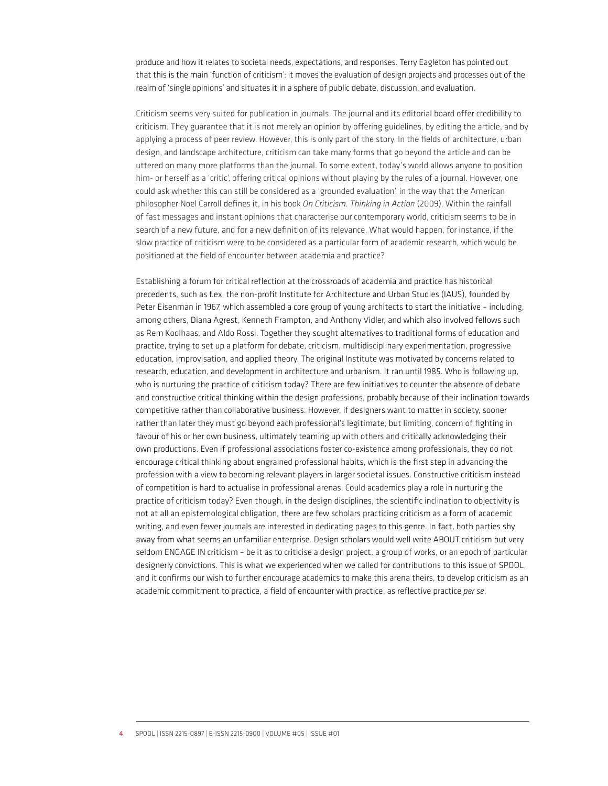produce and how it relates to societal needs, expectations, and responses. Terry Eagleton has pointed out that this is the main 'function of criticism': it moves the evaluation of design projects and processes out of the realm of 'single opinions' and situates it in a sphere of public debate, discussion, and evaluation.

Criticism seems very suited for publication in journals. The journal and its editorial board offer credibility to criticism. They guarantee that it is not merely an opinion by offering guidelines, by editing the article, and by applying a process of peer review. However, this is only part of the story. In the fields of architecture, urban design, and landscape architecture, criticism can take many forms that go beyond the article and can be uttered on many more platforms than the journal. To some extent, today's world allows anyone to position him- or herself as a 'critic', offering critical opinions without playing by the rules of a journal. However, one could ask whether this can still be considered as a 'grounded evaluation', in the way that the American philosopher Noel Carroll defines it, in his book *On Criticism. Thinking in Action* (2009). Within the rainfall of fast messages and instant opinions that characterise our contemporary world, criticism seems to be in search of a new future, and for a new definition of its relevance. What would happen, for instance, if the slow practice of criticism were to be considered as a particular form of academic research, which would be positioned at the field of encounter between academia and practice?

Establishing a forum for critical reflection at the crossroads of academia and practice has historical precedents, such as f.ex. the non-profit Institute for Architecture and Urban Studies (IAUS), founded by Peter Eisenman in 1967, which assembled a core group of young architects to start the initiative – including, among others, Diana Agrest, Kenneth Frampton, and Anthony Vidler, and which also involved fellows such as Rem Koolhaas, and Aldo Rossi. Together they sought alternatives to traditional forms of education and practice, trying to set up a platform for debate, criticism, multidisciplinary experimentation, progressive education, improvisation, and applied theory. The original Institute was motivated by concerns related to research, education, and development in architecture and urbanism. It ran until 1985. Who is following up, who is nurturing the practice of criticism today? There are few initiatives to counter the absence of debate and constructive critical thinking within the design professions, probably because of their inclination towards competitive rather than collaborative business. However, if designers want to matter in society, sooner rather than later they must go beyond each professional's legitimate, but limiting, concern of fighting in favour of his or her own business, ultimately teaming up with others and critically acknowledging their own productions. Even if professional associations foster co-existence among professionals, they do not encourage critical thinking about engrained professional habits, which is the first step in advancing the profession with a view to becoming relevant players in larger societal issues. Constructive criticism instead of competition is hard to actualise in professional arenas. Could academics play a role in nurturing the practice of criticism today? Even though, in the design disciplines, the scientific inclination to objectivity is not at all an epistemological obligation, there are few scholars practicing criticism as a form of academic writing, and even fewer journals are interested in dedicating pages to this genre. In fact, both parties shy away from what seems an unfamiliar enterprise. Design scholars would well write ABOUT criticism but very seldom ENGAGE IN criticism – be it as to criticise a design project, a group of works, or an epoch of particular designerly convictions. This is what we experienced when we called for contributions to this issue of SPOOL, and it confirms our wish to further encourage academics to make this arena theirs, to develop criticism as an academic commitment to practice, a field of encounter with practice, as reflective practice *per se*.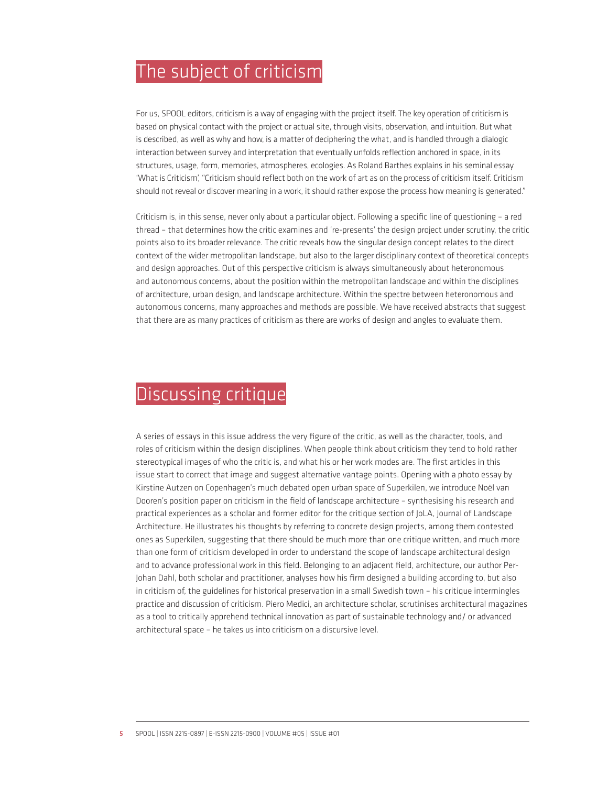## The subject of criticism

For us, SPOOL editors, criticism is a way of engaging with the project itself. The key operation of criticism is based on physical contact with the project or actual site, through visits, observation, and intuition. But what is described, as well as why and how, is a matter of deciphering the what, and is handled through a dialogic interaction between survey and interpretation that eventually unfolds reflection anchored in space, in its structures, usage, form, memories, atmospheres, ecologies. As Roland Barthes explains in his seminal essay 'What is Criticism', "Criticism should reflect both on the work of art as on the process of criticism itself. Criticism should not reveal or discover meaning in a work, it should rather expose the process how meaning is generated."

Criticism is, in this sense, never only about a particular object. Following a specific line of questioning – a red thread – that determines how the critic examines and 're-presents' the design project under scrutiny, the critic points also to its broader relevance. The critic reveals how the singular design concept relates to the direct context of the wider metropolitan landscape, but also to the larger disciplinary context of theoretical concepts and design approaches. Out of this perspective criticism is always simultaneously about heteronomous and autonomous concerns, about the position within the metropolitan landscape and within the disciplines of architecture, urban design, and landscape architecture. Within the spectre between heteronomous and autonomous concerns, many approaches and methods are possible. We have received abstracts that suggest that there are as many practices of criticism as there are works of design and angles to evaluate them.

#### Discussing critique

A series of essays in this issue address the very figure of the critic, as well as the character, tools, and roles of criticism within the design disciplines. When people think about criticism they tend to hold rather stereotypical images of who the critic is, and what his or her work modes are. The first articles in this issue start to correct that image and suggest alternative vantage points. Opening with a photo essay by Kirstine Autzen on Copenhagen's much debated open urban space of Superkilen, we introduce Noël van Dooren's position paper on criticism in the field of landscape architecture – synthesising his research and practical experiences as a scholar and former editor for the critique section of JoLA, Journal of Landscape Architecture. He illustrates his thoughts by referring to concrete design projects, among them contested ones as Superkilen, suggesting that there should be much more than one critique written, and much more than one form of criticism developed in order to understand the scope of landscape architectural design and to advance professional work in this field. Belonging to an adjacent field, architecture, our author Per-Johan Dahl, both scholar and practitioner, analyses how his firm designed a building according to, but also in criticism of, the guidelines for historical preservation in a small Swedish town – his critique intermingles practice and discussion of criticism. Piero Medici, an architecture scholar, scrutinises architectural magazines as a tool to critically apprehend technical innovation as part of sustainable technology and/ or advanced architectural space – he takes us into criticism on a discursive level.